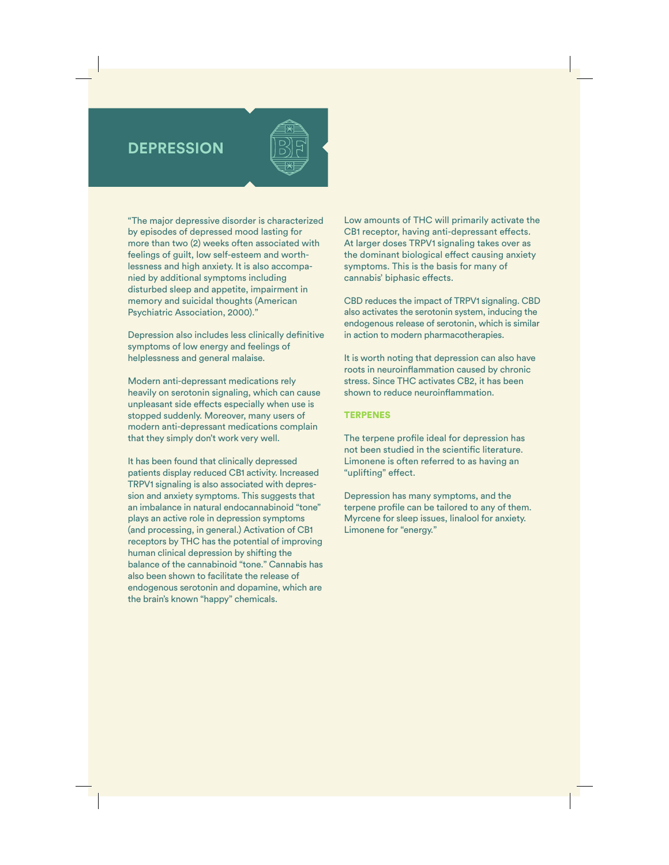## **DEPRESSION**



"The major depressive disorder is characterized by episodes of depressed mood lasting for more than two (2) weeks often associated with feelings of guilt, low self-esteem and worthlessness and high anxiety. It is also accompanied by additional symptoms including disturbed sleep and appetite, impairment in memory and suicidal thoughts (American Psychiatric Association, 2000)."

Depression also includes less clinically definitive symptoms of low energy and feelings of helplessness and general malaise.

Modern anti-depressant medications rely heavily on serotonin signaling, which can cause unpleasant side effects especially when use is stopped suddenly. Moreover, many users of modern anti-depressant medications complain that they simply don't work very well.

It has been found that clinically depressed patients display reduced CB1 activity. Increased TRPV1 signaling is also associated with depression and anxiety symptoms. This suggests that an imbalance in natural endocannabinoid "tone" plays an active role in depression symptoms (and processing, in general.) Activation of CB1 receptors by THC has the potential of improving human clinical depression by shifting the balance of the cannabinoid "tone." Cannabis has also been shown to facilitate the release of endogenous serotonin and dopamine, which are the brain's known "happy" chemicals.

Low amounts of THC will primarily activate the CB1 receptor, having anti-depressant effects. At larger doses TRPV1 signaling takes over as the dominant biological effect causing anxiety symptoms. This is the basis for many of cannabis' biphasic effects.

CBD reduces the impact of TRPV1 signaling. CBD also activates the serotonin system, inducing the endogenous release of serotonin, which is similar in action to modern pharmacotherapies.

It is worth noting that depression can also have roots in neuroinflammation caused by chronic stress. Since THC activates CB2, it has been shown to reduce neuroinflammation.

## **TERPENES**

The terpene profile ideal for depression has not been studied in the scientific literature. Limonene is often referred to as having an "uplifting" effect.

Depression has many symptoms, and the terpene profile can be tailored to any of them. Myrcene for sleep issues, linalool for anxiety. Limonene for "energy."